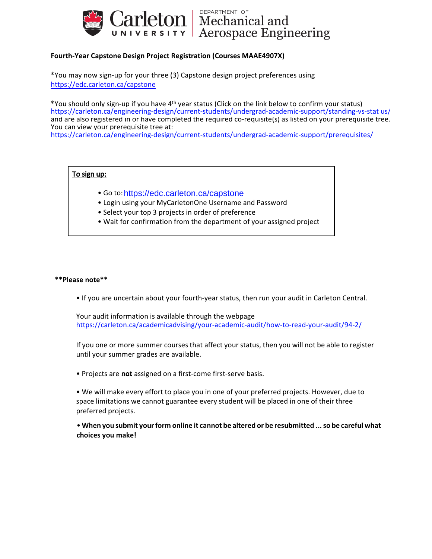

Carleton | Mechanical and

## **Fourth-Year Capstone Design Project Registration (Courses MAAE4907X)**

<https://edc.carleton.ca/capstone> \*You may now sign-up for your three (3) Capstone design project preferences using

\*You should only sign-up if you have 4th year status (Click on the link below to confirm your status) [https://carleton.ca/engineering-design/current-students/undergrad-academic-support/standing-vs-stat](https://carleton.ca/engineering-design/current-students/undergrad-academic-support/standing-vs-stat us/) us/ and are also registered in or have completed the required co-requisite(s) as listed on your prerequisite tree. You can view your prerequisite tree at:

<https://carleton.ca/engineering-design/current-students/undergrad-academic-support/prerequisites/>

## To sign up:

- Go to:<https://edc.carleton.ca/capstone>
- Login using your MyCarletonOne Username and Password
- Select your top 3 projects in order of preference
- Wait for confirmation from the department of your assigned project

#### **\*\*Please note\*\***

• If you are uncertain about your fourth-year status, then run your audit in Carleton Central.

<https://carleton.ca/academicadvising/your-academic-audit/how-to-read-your-audit/94-2/> Your audit information is available through the webpage

If you one or more summer coursesthat affect your status, then you will not be able to register until your summer grades are available.

• Projects are **not** assigned on a first-come first-serve basis.

preferred projects. space limitations we cannot guarantee every student will be placed in one of their three • We will make every effort to place you in one of your preferred projects. However, due to

• **When you submit yourform online it cannot be altered or be resubmitted ...so be careful what choices you make!**